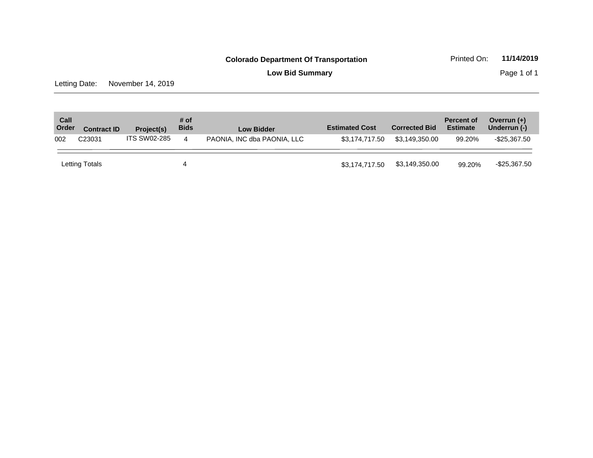**Low Bid Summary** Page 1 of 1

Letting Date: November 14, 2019

| Call<br>Order | <b>Contract ID</b> | Project(s)          | # of<br><b>Bids</b> | <b>Low Bidder</b>           | <b>Estimated Cost</b> | <b>Corrected Bid</b> | <b>Percent of</b><br><b>Estimate</b> | Overrun $(+)$<br>Underrun (-) |
|---------------|--------------------|---------------------|---------------------|-----------------------------|-----------------------|----------------------|--------------------------------------|-------------------------------|
| 002           | C <sub>23031</sub> | <b>ITS SW02-285</b> | 4                   | PAONIA, INC dba PAONIA, LLC | \$3,174,717.50        | \$3,149,350.00       | 99.20%                               | $-$ \$25,367.50               |
|               | Letting Totals     |                     |                     |                             | \$3,174,717.50        | \$3,149,350.00       | 99.20%                               | $-$ \$25,367.50               |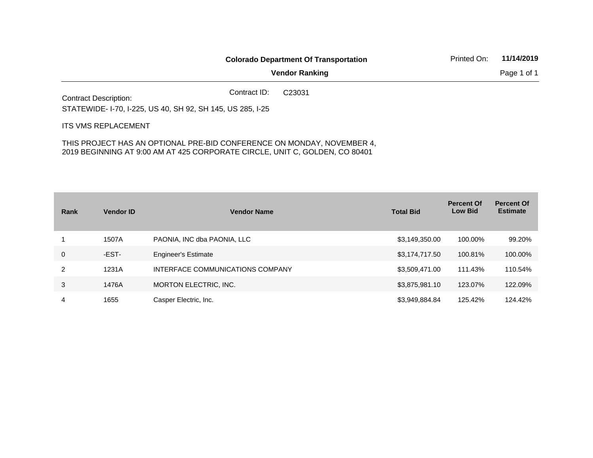|                                                            |              | <b>Colorado Department Of Transportation</b> | Printed On: | 11/14/2019  |
|------------------------------------------------------------|--------------|----------------------------------------------|-------------|-------------|
|                                                            |              | <b>Vendor Ranking</b>                        |             | Page 1 of 1 |
| <b>Contract Description:</b>                               | Contract ID: | C <sub>23031</sub>                           |             |             |
| STATEWIDE- 1-70, 1-225, US 40, SH 92, SH 145, US 285, 1-25 |              |                                              |             |             |

### ITS VMS REPLACEMENT

THIS PROJECT HAS AN OPTIONAL PRE-BID CONFERENCE ON MONDAY, NOVEMBER 4, 2019 BEGINNING AT 9:00 AM AT 425 CORPORATE CIRCLE, UNIT C, GOLDEN, CO 80401

| Rank | <b>Vendor ID</b> | <b>Vendor Name</b>               | <b>Total Bid</b> | <b>Percent Of</b><br><b>Low Bid</b> | <b>Percent Of</b><br><b>Estimate</b> |
|------|------------------|----------------------------------|------------------|-------------------------------------|--------------------------------------|
|      | 1507A            | PAONIA, INC dba PAONIA, LLC      | \$3,149,350.00   | 100.00%                             | 99.20%                               |
| 0    | -EST-            | <b>Engineer's Estimate</b>       | \$3,174,717.50   | 100.81%                             | 100.00%                              |
| 2    | 1231A            | INTERFACE COMMUNICATIONS COMPANY | \$3,509,471.00   | 111.43%                             | 110.54%                              |
| 3    | 1476A            | MORTON ELECTRIC, INC.            | \$3,875,981.10   | 123.07%                             | 122.09%                              |
| 4    | 1655             | Casper Electric, Inc.            | \$3,949,884.84   | 125.42%                             | 124.42%                              |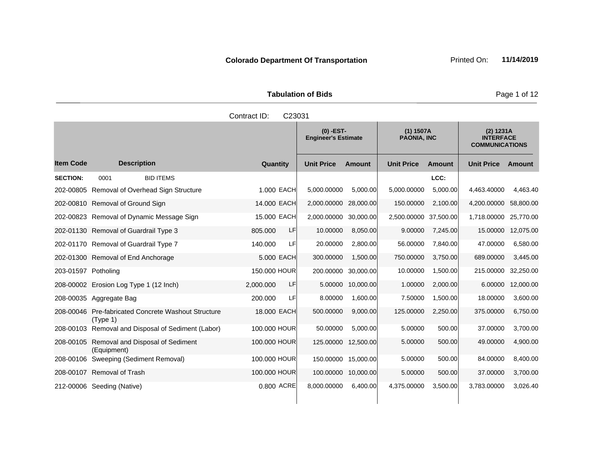**Tabulation of Bids Page 1 of 12** 

|                     |                                                                 | Contract ID:<br>C23031 |                                           |               |                                 |               |                                                        |           |
|---------------------|-----------------------------------------------------------------|------------------------|-------------------------------------------|---------------|---------------------------------|---------------|--------------------------------------------------------|-----------|
|                     |                                                                 |                        | $(0)$ -EST-<br><b>Engineer's Estimate</b> |               | (1) 1507A<br><b>PAONIA, INC</b> |               | (2) 1231A<br><b>INTERFACE</b><br><b>COMMUNICATIONS</b> |           |
| <b>Item Code</b>    | <b>Description</b>                                              | Quantity               | <b>Unit Price</b>                         | <b>Amount</b> | <b>Unit Price</b>               | <b>Amount</b> | <b>Unit Price</b>                                      | Amount    |
| <b>SECTION:</b>     | 0001<br><b>BID ITEMS</b>                                        |                        |                                           |               |                                 | LCC:          |                                                        |           |
| 202-00805           | Removal of Overhead Sign Structure                              | 1.000 EACH             | 5,000.00000                               | 5,000.00      | 5,000.00000                     | 5,000.00      | 4,463.40000                                            | 4,463.40  |
|                     | 202-00810 Removal of Ground Sign                                | 14.000 EACH            | 2,000.00000                               | 28,000.00     | 150.00000                       | 2,100.00      | 4,200.00000                                            | 58,800.00 |
|                     | 202-00823 Removal of Dynamic Message Sign                       | 15.000 EACH            | 2,000.00000                               | 30,000.00     | 2,500.00000                     | 37.500.00     | 1,718.00000                                            | 25,770.00 |
|                     | 202-01130 Removal of Guardrail Type 3                           | 805.000<br>LF          | 10.00000                                  | 8,050.00      | 9.00000                         | 7,245.00      | 15.00000                                               | 12,075.00 |
|                     | 202-01170 Removal of Guardrail Type 7                           | LF<br>140.000          | 20.00000                                  | 2,800.00      | 56.00000                        | 7,840.00      | 47.00000                                               | 6,580.00  |
|                     | 202-01300 Removal of End Anchorage                              | 5.000 EACH             | 300.00000                                 | 1,500.00      | 750.00000                       | 3,750.00      | 689.00000                                              | 3,445.00  |
| 203-01597 Potholing |                                                                 | 150,000 HOUR           | 200.00000                                 | 30,000.00     | 10.00000                        | 1,500.00      | 215.00000                                              | 32,250.00 |
|                     | 208-00002 Erosion Log Type 1 (12 Inch)                          | LF<br>2,000.000        | 5.00000                                   | 10,000.00     | 1.00000                         | 2,000.00      | 6.00000                                                | 12,000.00 |
|                     | 208-00035 Aggregate Bag                                         | 200.000<br>LF          | 8.00000                                   | 1,600.00      | 7.50000                         | 1.500.00      | 18.00000                                               | 3,600.00  |
|                     | 208-00046 Pre-fabricated Concrete Washout Structure<br>(Type 1) | 18.000 EACH            | 500.00000                                 | 9,000.00      | 125.00000                       | 2,250.00      | 375.00000                                              | 6,750.00  |
| 208-00103           | Removal and Disposal of Sediment (Labor)                        | 100.000 HOUR           | 50.00000                                  | 5,000.00      | 5.00000                         | 500.00        | 37.00000                                               | 3,700.00  |
| 208-00105           | Removal and Disposal of Sediment<br>(Equipment)                 | 100.000 HOUR           | 125.00000                                 | 12,500.00     | 5.00000                         | 500.00        | 49.00000                                               | 4,900.00  |
| 208-00106           | Sweeping (Sediment Removal)                                     | 100.000 HOUR           | 150.00000                                 | 15,000.00     | 5.00000                         | 500.00        | 84.00000                                               | 8,400.00  |
|                     | 208-00107 Removal of Trash                                      | 100.000 HOUR           | 100.00000                                 | 10,000.00     | 5.00000                         | 500.00        | 37.00000                                               | 3,700.00  |
|                     | 212-00006 Seeding (Native)                                      | 0.800 ACRE             | 8,000.00000                               | 6,400.00      | 4,375.00000                     | 3,500.00      | 3,783.00000                                            | 3,026.40  |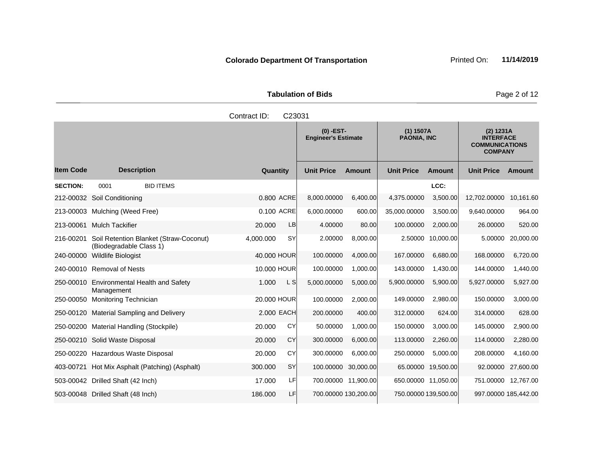**Tabulation of Bids Page 2 of 12** 

|                  |                                                                   | C23031<br>Contract ID: |                                           |                      |                                   |                      |                                                                          |                    |
|------------------|-------------------------------------------------------------------|------------------------|-------------------------------------------|----------------------|-----------------------------------|----------------------|--------------------------------------------------------------------------|--------------------|
|                  |                                                                   |                        | $(0)$ -EST-<br><b>Engineer's Estimate</b> |                      | $(1)$ 1507A<br><b>PAONIA, INC</b> |                      | (2) 1231A<br><b>INTERFACE</b><br><b>COMMUNICATIONS</b><br><b>COMPANY</b> |                    |
| <b>Item Code</b> | <b>Description</b>                                                | Quantity               | <b>Unit Price</b>                         | <b>Amount</b>        | <b>Unit Price</b>                 | <b>Amount</b>        | <b>Unit Price</b>                                                        | Amount             |
| <b>SECTION:</b>  | 0001<br><b>BID ITEMS</b>                                          |                        |                                           |                      |                                   | LCC:                 |                                                                          |                    |
|                  | 212-00032 Soil Conditioning                                       | 0.800 ACRE             | 8,000.00000                               | 6,400.00             | 4,375.00000                       | 3,500.00             | 12,702.00000 10,161.60                                                   |                    |
|                  | 213-00003 Mulching (Weed Free)                                    | 0.100 ACRE             | 6,000.00000                               | 600.00               | 35,000.00000                      | 3,500.00             | 9,640.00000                                                              | 964.00             |
| 213-00061        | <b>Mulch Tackifier</b>                                            | LB<br>20,000           | 4.00000                                   | 80.00                | 100.00000                         | 2,000.00             | 26.00000                                                                 | 520.00             |
| 216-00201        | Soil Retention Blanket (Straw-Coconut)<br>(Biodegradable Class 1) | SY<br>4,000.000        | 2.00000                                   | 8,000.00             | 2.50000                           | 10,000.00            | 5.00000                                                                  | 20,000.00          |
| 240-00000        | <b>Wildlife Biologist</b>                                         | 40,000 HOUR            | 100.00000                                 | 4,000.00             | 167.00000                         | 6.680.00             | 168,00000                                                                | 6,720.00           |
|                  | 240-00010 Removal of Nests                                        | 10,000 HOUR            | 100.00000                                 | 1,000.00             | 143.00000                         | 1,430.00             | 144.00000                                                                | 1,440.00           |
| 250-00010        | <b>Environmental Health and Safety</b><br>Management              | L S<br>1.000           | 5,000.00000                               | 5,000.00             | 5,900.00000                       | 5,900.00             | 5,927.00000                                                              | 5,927.00           |
| 250-00050        | <b>Monitoring Technician</b>                                      | 20.000 HOUR            | 100.00000                                 | 2,000.00             | 149.00000                         | 2,980.00             | 150.00000                                                                | 3,000.00           |
|                  | 250-00120 Material Sampling and Delivery                          | 2.000 EACH             | 200.00000                                 | 400.00               | 312.00000                         | 624.00               | 314.00000                                                                | 628.00             |
|                  | 250-00200 Material Handling (Stockpile)                           | CY<br>20.000           | 50.00000                                  | 1,000.00             | 150.00000                         | 3,000.00             | 145.00000                                                                | 2,900.00           |
|                  | 250-00210 Solid Waste Disposal                                    | <b>CY</b><br>20,000    | 300.00000                                 | 6.000.00             | 113.00000                         | 2.260.00             | 114.00000                                                                | 2,280.00           |
|                  | 250-00220 Hazardous Waste Disposal                                | <b>CY</b><br>20.000    | 300.00000                                 | 6,000.00             | 250.00000                         | 5,000.00             | 208.00000                                                                | 4,160.00           |
|                  | 403-00721 Hot Mix Asphalt (Patching) (Asphalt)                    | SY<br>300.000          | 100.00000                                 | 30.000.00            |                                   | 65.00000 19,500.00   |                                                                          | 92.00000 27,600.00 |
|                  | 503-00042 Drilled Shaft (42 Inch)                                 | LF<br>17.000           |                                           | 700.00000 11,900.00  | 650.00000 11,050.00               |                      | 751.00000 12,767.00                                                      |                    |
|                  | 503-00048 Drilled Shaft (48 Inch)                                 | LF<br>186.000          |                                           | 700.00000 130,200.00 |                                   | 750.00000 139,500.00 | 997.00000 185,442.00                                                     |                    |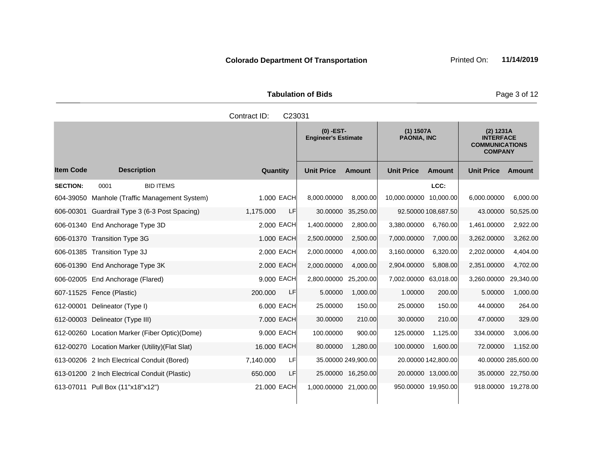Tabulation of Bids **Page 3 of 12** 

|                  |                                                 | Contract ID:<br>C23031 |                                           |                     |                                   |                     |                                                                          |                     |
|------------------|-------------------------------------------------|------------------------|-------------------------------------------|---------------------|-----------------------------------|---------------------|--------------------------------------------------------------------------|---------------------|
|                  |                                                 |                        | $(0)$ -EST-<br><b>Engineer's Estimate</b> |                     | $(1)$ 1507A<br><b>PAONIA. INC</b> |                     | (2) 1231A<br><b>INTERFACE</b><br><b>COMMUNICATIONS</b><br><b>COMPANY</b> |                     |
| <b>Item Code</b> | <b>Description</b>                              | Quantity               | <b>Unit Price</b>                         | <b>Amount</b>       | <b>Unit Price</b>                 | <b>Amount</b>       | <b>Unit Price</b>                                                        | Amount              |
| <b>SECTION:</b>  | <b>BID ITEMS</b><br>0001                        |                        |                                           |                     |                                   | LCC:                |                                                                          |                     |
|                  | 604-39050 Manhole (Traffic Management System)   | 1.000 EACH             | 8,000.00000                               | 8,000.00            | 10,000.00000 10,000.00            |                     | 6,000.00000                                                              | 6,000.00            |
|                  | 606-00301 Guardrail Type 3 (6-3 Post Spacing)   | 1,175.000<br>LF        | 30.00000                                  | 35,250.00           |                                   | 92.50000 108,687.50 | 43.00000                                                                 | 50,525.00           |
|                  | 606-01340 End Anchorage Type 3D                 | 2,000 EACH             | 1,400.00000                               | 2,800.00            | 3,380.00000                       | 6,760.00            | 1,461.00000                                                              | 2,922.00            |
|                  | 606-01370 Transition Type 3G                    | 1.000 EACH             | 2,500.00000                               | 2,500.00            | 7,000.00000                       | 7,000.00            | 3,262.00000                                                              | 3,262.00            |
|                  | 606-01385 Transition Type 3J                    | 2.000 EACH             | 2,000.00000                               | 4,000.00            | 3,160.00000                       | 6,320.00            | 2,202.00000                                                              | 4,404.00            |
|                  | 606-01390 End Anchorage Type 3K                 | 2.000 EACH             | 2,000.00000                               | 4,000.00            | 2,904.00000                       | 5,808.00            | 2,351.00000                                                              | 4,702.00            |
|                  | 606-02005 End Anchorage (Flared)                | 9,000 EACH             | 2,800.00000                               | 25,200.00           | 7,002.00000 63,018.00             |                     | 3,260.00000                                                              | 29,340.00           |
|                  | 607-11525 Fence (Plastic)                       | LF<br>200.000          | 5.00000                                   | 1,000.00            | 1.00000                           | 200.00              | 5.00000                                                                  | 1,000.00            |
|                  | 612-00001 Delineator (Type I)                   | 6.000 EACH             | 25.00000                                  | 150.00              | 25.00000                          | 150.00              | 44.00000                                                                 | 264.00              |
|                  | 612-00003 Delineator (Type III)                 | 7.000 EACH             | 30.00000                                  | 210.00              | 30.00000                          | 210.00              | 47.00000                                                                 | 329.00              |
|                  | 612-00260 Location Marker (Fiber Optic)(Dome)   | 9,000 EACH             | 100.00000                                 | 900.00              | 125.00000                         | 1,125.00            | 334.00000                                                                | 3,006.00            |
|                  | 612-00270 Location Marker (Utility) (Flat Slat) | 16.000 EACH            | 80.00000                                  | 1.280.00            | 100.00000                         | 1.600.00            | 72.00000                                                                 | 1,152.00            |
|                  | 613-00206 2 Inch Electrical Conduit (Bored)     | 7,140.000<br><b>LF</b> |                                           | 35.00000 249,900.00 |                                   | 20.00000 142,800.00 |                                                                          | 40.00000 285,600.00 |
|                  | 613-01200 2 Inch Electrical Conduit (Plastic)   | LF<br>650.000          |                                           | 25.00000 16,250.00  |                                   | 20.00000 13,000.00  |                                                                          | 35.00000 22,750.00  |
|                  | 613-07011 Pull Box (11"x18"x12")                | 21.000 EACH            | 1,000.00000 21,000.00                     |                     | 950.00000 19,950.00               |                     | 918.00000 19,278.00                                                      |                     |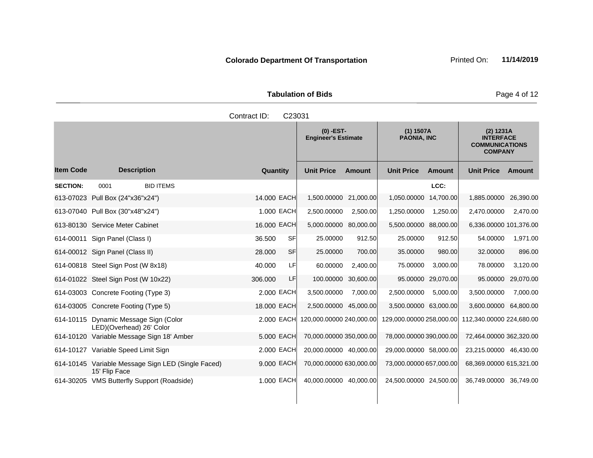Tabulation of Bids **Page 4 of 12** 

|                  |                                                                     | Contract ID:<br>C23031 |                                           |               |                                 |               |                                                                          |           |
|------------------|---------------------------------------------------------------------|------------------------|-------------------------------------------|---------------|---------------------------------|---------------|--------------------------------------------------------------------------|-----------|
|                  |                                                                     |                        | $(0)$ -EST-<br><b>Engineer's Estimate</b> |               | (1) 1507A<br><b>PAONIA, INC</b> |               | (2) 1231A<br><b>INTERFACE</b><br><b>COMMUNICATIONS</b><br><b>COMPANY</b> |           |
| <b>Item Code</b> | <b>Description</b>                                                  | Quantity               | <b>Unit Price</b>                         | <b>Amount</b> | <b>Unit Price</b>               | <b>Amount</b> | <b>Unit Price</b>                                                        | Amount    |
| <b>SECTION:</b>  | <b>BID ITEMS</b><br>0001                                            |                        |                                           |               |                                 | LCC:          |                                                                          |           |
|                  | 613-07023 Pull Box (24"x36"x24")                                    | 14.000 EACH            | 1,500.00000 21,000.00                     |               | 1,050.00000                     | 14,700.00     | 1,885.00000 26,390.00                                                    |           |
|                  | 613-07040 Pull Box (30"x48"x24")                                    | 1.000 EACH             | 2,500.00000                               | 2,500.00      | 1,250.00000                     | 1,250.00      | 2,470.00000                                                              | 2,470.00  |
|                  | 613-80130 Service Meter Cabinet                                     | 16.000 EACH            | 5,000.00000 80,000.00                     |               | 5,500.00000 88,000.00           |               | 6,336.00000 101,376.00                                                   |           |
|                  | 614-00011 Sign Panel (Class I)                                      | 36.500<br>SF           | 25.00000                                  | 912.50        | 25.00000                        | 912.50        | 54.00000                                                                 | 1,971.00  |
|                  | 614-00012 Sign Panel (Class II)                                     | <b>SF</b><br>28,000    | 25.00000                                  | 700.00        | 35.00000                        | 980.00        | 32.00000                                                                 | 896.00    |
|                  | 614-00818 Steel Sign Post (W 8x18)                                  | LFI<br>40.000          | 60.00000                                  | 2,400.00      | 75.00000                        | 3,000.00      | 78.00000                                                                 | 3,120.00  |
|                  | 614-01022 Steel Sign Post (W 10x22)                                 | LF.<br>306,000         | 100.00000                                 | 30,600.00     | 95.00000                        | 29,070.00     | 95.00000                                                                 | 29,070.00 |
|                  | 614-03003 Concrete Footing (Type 3)                                 | 2.000 EACH             | 3,500.00000                               | 7,000.00      | 2,500.00000                     | 5,000.00      | 3,500.00000                                                              | 7,000.00  |
|                  | 614-03005 Concrete Footing (Type 5)                                 | 18.000 EACH            | 2,500.00000 45,000.00                     |               | 3,500.00000 63,000.00           |               | 3,600.00000 64,800.00                                                    |           |
|                  | 614-10115 Dynamic Message Sign (Color<br>LED)(Overhead) 26' Color   | 2.000 EACH             | 120,000.00000 240,000.00                  |               |                                 |               | 129,000.00000 258,000.00 112,340.00000 224,680.00                        |           |
|                  | 614-10120 Variable Message Sign 18' Amber                           | 5.000 EACH             | 70,000.00000 350,000.00                   |               | 78,000.00000 390,000.00         |               | 72,464.00000 362,320.00                                                  |           |
|                  | 614-10127 Variable Speed Limit Sign                                 | 2.000 EACH             | 20,000.00000 40,000.00                    |               | 29,000.00000 58,000.00          |               | 23,215.00000 46,430.00                                                   |           |
|                  | 614-10145 Variable Message Sign LED (Single Faced)<br>15' Flip Face | 9.000 EACH             | 70,000.00000 630,000.00                   |               | 73,000.00000 657,000.00         |               | 68,369.00000 615,321.00                                                  |           |
| 614-30205        | VMS Butterfly Support (Roadside)                                    | 1.000 EACH             | 40,000.00000 40,000.00                    |               | 24,500.00000 24,500.00          |               | 36,749.00000 36,749.00                                                   |           |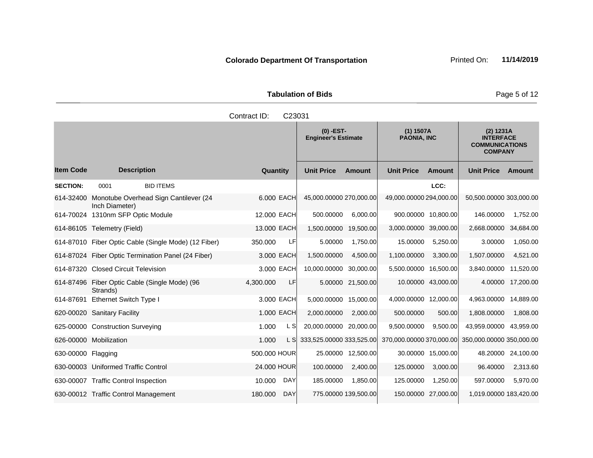**Tabulation of Bids Page 5 of 12** 

|                    |                                                           | Contract ID:          | C23031                                    |                      |                                 |                    |                                                                          |                    |
|--------------------|-----------------------------------------------------------|-----------------------|-------------------------------------------|----------------------|---------------------------------|--------------------|--------------------------------------------------------------------------|--------------------|
|                    |                                                           |                       | $(0)$ -EST-<br><b>Engineer's Estimate</b> |                      | (1) 1507A<br><b>PAONIA, INC</b> |                    | (2) 1231A<br><b>INTERFACE</b><br><b>COMMUNICATIONS</b><br><b>COMPANY</b> |                    |
| <b>Item Code</b>   | <b>Description</b>                                        | Quantity              | <b>Unit Price</b>                         | <b>Amount</b>        | <b>Unit Price</b>               | <b>Amount</b>      | <b>Unit Price</b>                                                        | Amount             |
| <b>SECTION:</b>    | <b>BID ITEMS</b><br>0001                                  |                       |                                           |                      |                                 | LCC:               |                                                                          |                    |
| 614-32400          | Monotube Overhead Sign Cantilever (24<br>Inch Diameter)   | 6.000 EACH            | 45,000.00000 270,000.00                   |                      | 49,000.00000 294,000.00         |                    | 50,500.00000 303,000.00                                                  |                    |
|                    | 614-70024 1310nm SFP Optic Module                         | 12.000 EACH           | 500.00000                                 | 6,000.00             | 900.00000 10,800.00             |                    | 146.00000                                                                | 1,752.00           |
|                    | 614-86105 Telemetry (Field)                               | 13.000 EACH           | 1,500.00000                               | 19,500.00            | 3,000.00000 39,000.00           |                    | 2,668.00000 34,684.00                                                    |                    |
|                    | 614-87010 Fiber Optic Cable (Single Mode) (12 Fiber)      | 350.000<br>LF         | 5.00000                                   | 1,750.00             | 15.00000                        | 5,250.00           | 3.00000                                                                  | 1,050.00           |
|                    | 614-87024 Fiber Optic Termination Panel (24 Fiber)        | 3.000 EACH            | 1,500.00000                               | 4,500.00             | 1,100.00000                     | 3,300.00           | 1,507.00000                                                              | 4,521.00           |
|                    | 614-87320 Closed Circuit Television                       | 3,000 EACH            | 10,000.00000                              | 30,000.00            | 5,500.00000                     | 16,500.00          | 3,840.00000                                                              | 11,520.00          |
|                    | 614-87496 Fiber Optic Cable (Single Mode) (96<br>Strands) | 4,300.000<br>LF.      |                                           | 5.00000 21,500.00    |                                 | 10.00000 43,000.00 |                                                                          | 4.00000 17,200.00  |
| 614-87691          | Ethernet Switch Type I                                    | 3.000 EACH            | 5,000.00000                               | 15,000.00            | 4,000.00000 12,000.00           |                    | 4,963.00000                                                              | 14,889.00          |
|                    | 620-00020 Sanitary Facility                               | 1.000 EACH            | 2,000.00000                               | 2,000.00             | 500.00000                       | 500.00             | 1,808.00000                                                              | 1,808.00           |
|                    | 625-00000 Construction Surveying                          | L SI<br>1.000         | 20,000.00000 20,000.00                    |                      | 9,500.00000                     | 9,500.00           | 43,959.00000 43,959.00                                                   |                    |
|                    | 626-00000 Mobilization                                    | 1.000<br>L SI         | 333,525.00000 333,525.00                  |                      | 370,000.00000 370,000.00        |                    | 350,000.00000 350,000.00                                                 |                    |
| 630-00000 Flagging |                                                           | 500.000 HOUR          |                                           | 25.00000 12,500.00   |                                 | 30.00000 15,000.00 |                                                                          | 48.20000 24,100.00 |
|                    | 630-00003 Uniformed Traffic Control                       | 24.000 HOUR           | 100.00000                                 | 2,400.00             | 125.00000                       | 3,000.00           | 96.40000                                                                 | 2,313.60           |
|                    | 630-00007 Traffic Control Inspection                      | 10.000<br>DAY         | 185.00000                                 | 1,850.00             | 125.00000                       | 1,250.00           | 597.00000                                                                | 5,970.00           |
|                    | 630-00012 Traffic Control Management                      | 180.000<br><b>DAY</b> |                                           | 775.00000 139,500.00 | 150.00000 27,000.00             |                    | 1,019.00000 183,420.00                                                   |                    |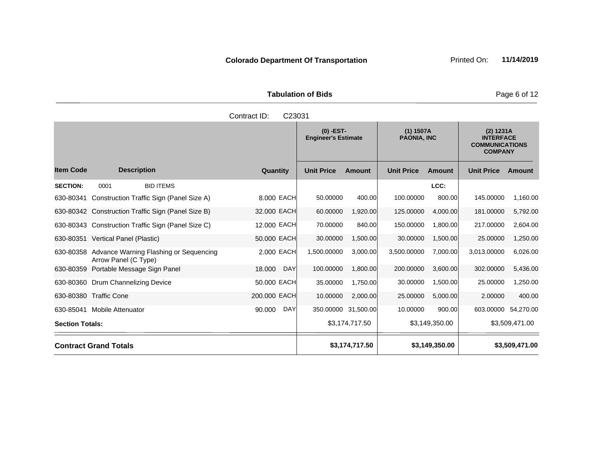Tabulation of Bids **Page 6 of 12** 

|                              |                                                                | Contract ID:<br>C23031 |                                           |                     |                                   |                |                                                                          |                |
|------------------------------|----------------------------------------------------------------|------------------------|-------------------------------------------|---------------------|-----------------------------------|----------------|--------------------------------------------------------------------------|----------------|
|                              |                                                                |                        | $(0)$ -EST-<br><b>Engineer's Estimate</b> |                     | $(1)$ 1507A<br><b>PAONIA, INC</b> |                | (2) 1231A<br><b>INTERFACE</b><br><b>COMMUNICATIONS</b><br><b>COMPANY</b> |                |
| <b>Item Code</b>             | <b>Description</b>                                             | Quantity               | <b>Unit Price</b>                         | <b>Amount</b>       | <b>Unit Price</b>                 | <b>Amount</b>  | <b>Unit Price</b>                                                        | Amount         |
| <b>SECTION:</b>              | 0001<br><b>BID ITEMS</b>                                       |                        |                                           |                     |                                   | LCC:           |                                                                          |                |
| 630-80341                    | Construction Traffic Sign (Panel Size A)                       | 8.000 EACH             | 50.00000                                  | 400.00              | 100.00000                         | 800.00         | 145.00000                                                                | 1,160.00       |
|                              | 630-80342 Construction Traffic Sign (Panel Size B)             | 32.000 EACH            | 60.00000                                  | 1,920.00            | 125.00000                         | 4,000.00       | 181.00000                                                                | 5,792.00       |
|                              | 630-80343 Construction Traffic Sign (Panel Size C)             | 12.000 EACH            | 70.00000                                  | 840.00              | 150.00000                         | 1,800.00       | 217.00000                                                                | 2,604.00       |
|                              | 630-80351 Vertical Panel (Plastic)                             | 50.000 EACH            | 30.00000                                  | 1,500.00            | 30.00000                          | 1,500.00       | 25.00000                                                                 | 1,250.00       |
| 630-80358                    | Advance Warning Flashing or Sequencing<br>Arrow Panel (C Type) | 2.000 EACH             | 1,500.00000                               | 3,000.00            | 3,500.00000                       | 7.000.00       | 3,013.00000                                                              | 6,026.00       |
|                              | 630-80359 Portable Message Sign Panel                          | <b>DAY</b><br>18.000   | 100.00000                                 | 1,800.00            | 200.00000                         | 3,600.00       | 302.00000                                                                | 5,436.00       |
|                              | 630-80360 Drum Channelizing Device                             | 50.000 EACH            | 35.00000                                  | 1,750.00            | 30.00000                          | 1,500.00       | 25.00000                                                                 | 1,250.00       |
|                              | 630-80380 Traffic Cone                                         | 200.000 EACH           | 10.00000                                  | 2,000.00            | 25.00000                          | 5,000.00       | 2.00000                                                                  | 400.00         |
| 630-85041                    | <b>Mobile Attenuator</b>                                       | 90.000<br><b>DAY</b>   |                                           | 350.00000 31,500.00 | 10.00000                          | 900.00         | 603.00000                                                                | 54,270.00      |
| <b>Section Totals:</b>       |                                                                |                        |                                           | \$3,174,717.50      |                                   | \$3,149,350.00 |                                                                          | \$3,509,471.00 |
| <b>Contract Grand Totals</b> |                                                                |                        | \$3,174,717.50                            |                     | \$3,149,350.00                    |                | \$3,509,471.00                                                           |                |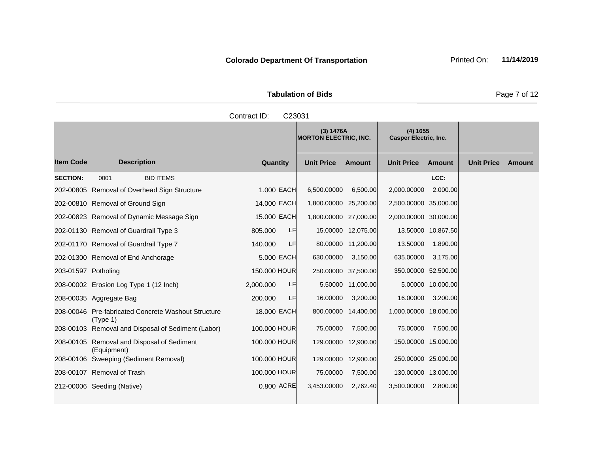Tabulation of Bids **Page 7 of 12** 

|                     | Contract ID:<br>C23031                                          |                 |                                           |                    |                                          |                    |                   |        |  |
|---------------------|-----------------------------------------------------------------|-----------------|-------------------------------------------|--------------------|------------------------------------------|--------------------|-------------------|--------|--|
|                     |                                                                 |                 | (3) 1476A<br><b>MORTON ELECTRIC, INC.</b> |                    | (4) 1655<br><b>Casper Electric, Inc.</b> |                    |                   |        |  |
| <b>Item Code</b>    | <b>Description</b>                                              | Quantity        | <b>Unit Price</b>                         | <b>Amount</b>      | <b>Unit Price</b>                        | <b>Amount</b>      | <b>Unit Price</b> | Amount |  |
| <b>SECTION:</b>     | <b>BID ITEMS</b><br>0001                                        |                 |                                           |                    |                                          | LCC:               |                   |        |  |
|                     | 202-00805 Removal of Overhead Sign Structure                    | 1.000 EACH      | 6,500.00000                               | 6,500.00           | 2,000.00000                              | 2,000.00           |                   |        |  |
|                     | 202-00810 Removal of Ground Sign                                | 14.000 EACH     | 1,800.00000 25,200.00                     |                    | 2,500.00000 35,000.00                    |                    |                   |        |  |
|                     | 202-00823 Removal of Dynamic Message Sign                       | 15.000 EACH     | 1,800.00000 27,000.00                     |                    | 2,000.00000 30,000.00                    |                    |                   |        |  |
|                     | 202-01130 Removal of Guardrail Type 3                           | LF<br>805.000   |                                           | 15.00000 12,075.00 |                                          | 13.50000 10,867.50 |                   |        |  |
|                     | 202-01170 Removal of Guardrail Type 7                           | LF<br>140.000   |                                           | 80.00000 11,200.00 | 13.50000                                 | 1,890.00           |                   |        |  |
|                     | 202-01300 Removal of End Anchorage                              | 5.000 EACH      | 630.00000                                 | 3,150.00           | 635.00000                                | 3,175.00           |                   |        |  |
| 203-01597 Potholing |                                                                 | 150,000 HOUR    | 250.00000 37,500.00                       |                    | 350.00000 52,500.00                      |                    |                   |        |  |
|                     | 208-00002 Erosion Log Type 1 (12 Inch)                          | LF<br>2,000.000 |                                           | 5.50000 11,000.00  |                                          | 5.00000 10,000.00  |                   |        |  |
|                     | 208-00035 Aggregate Bag                                         | LF<br>200.000   | 16.00000                                  | 3,200.00           | 16.00000                                 | 3,200.00           |                   |        |  |
|                     | 208-00046 Pre-fabricated Concrete Washout Structure<br>(Type 1) | 18.000 EACH     | 800.00000 14,400.00                       |                    | 1,000.00000 18,000.00                    |                    |                   |        |  |
|                     | 208-00103 Removal and Disposal of Sediment (Labor)              | 100.000 HOUR    | 75.00000                                  | 7,500.00           | 75.00000                                 | 7,500.00           |                   |        |  |
|                     | 208-00105 Removal and Disposal of Sediment<br>(Equipment)       | 100,000 HOUR    | 129.00000 12,900.00                       |                    | 150.00000 15,000.00                      |                    |                   |        |  |
|                     | 208-00106 Sweeping (Sediment Removal)                           | 100,000 HOUR    | 129.00000 12,900.00                       |                    | 250.00000 25,000.00                      |                    |                   |        |  |
|                     | 208-00107 Removal of Trash                                      | 100,000 HOUR    | 75.00000                                  | 7,500.00           | 130.00000 13,000.00                      |                    |                   |        |  |
|                     | 212-00006 Seeding (Native)                                      | 0.800 ACRE      | 3,453.00000                               | 2,762.40           | 3,500.00000                              | 2,800.00           |                   |        |  |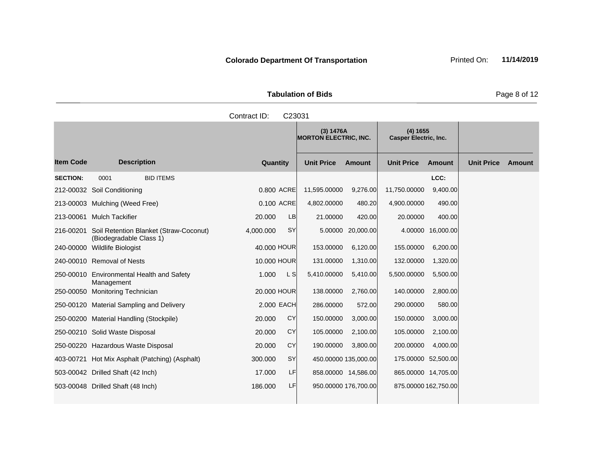| <b>Tabulation of Rids</b> |  |
|---------------------------|--|

**Quantity Unit Price Unit Price Item Code Amount Unit Price Amount Ext Ext Unit Price Amount Ext (3) 1476A MORTON ELECTRIC, INC. (4) 1655 Casper Electric, Inc. Description SECTION:** 0001 BID ITEMS **LCC:** 212-00032 Soil Conditioning 0.800 ACRE 11,595.00000 9,276.00 11,750.00000 9,400.00 213-00003 Mulching (Weed Free) 0.100 ACRE 4,802.00000 480.20 4,900.00000 490.00 213-00061 Mulch Tackifier 20.000 LB 21.00000 420.00 20.00000 400.00 216-00201 Soil Retention Blanket (Straw-Coconut) (Biodegradable Class 1) 4,000.000 SY 5.00000 20,000.00 4.00000 16,000.00 240-00000 Wildlife Biologist 40.000 HOUR 153.00000 6,120.00 155.00000 6,200.00 240-00010 Removal of Nests 10.000 HOUR 131.00000 1,310.00 132.00000 1,320.00 250-00010 Environmental Health and Safety Management 1.000 L S 5.410.00000 5.410.00 5.500.00000 5.500.00 250-00050 Monitoring Technician 20.000 HOUR 138.00000 2,760.00 140.00000 2,800.00 250-00120 Material Sampling and Delivery 2.000 EACH 286.00000 572.00 290.00000 580.00 250-00200 Material Handling (Stockpile) 20.000 CY 150.00000 3,000.00 150.00000 3,000.00 250-00210 Solid Waste Disposal 20.000 CY 105.00000 2,100.00 105.00000 2,100.00 250-00220 Hazardous Waste Disposal 20.000 CY 190.00000 3,800.00 200.00000 4,000.00 403-00721 Hot Mix Asphalt (Patching) (Asphalt) 300.000 SY 450.00000 135,000.00 175.00000 52,500.00 503-00042 Drilled Shaft (42 Inch) 17.000 LF 858.00000 14,586.00 865.00000 14,705.00 503-00048 Drilled Shaft (48 Inch) 186.000 LF 950.00000 176,700.00 875.00000 162,750.00 Contract ID: C23031

**Page 8 of 12**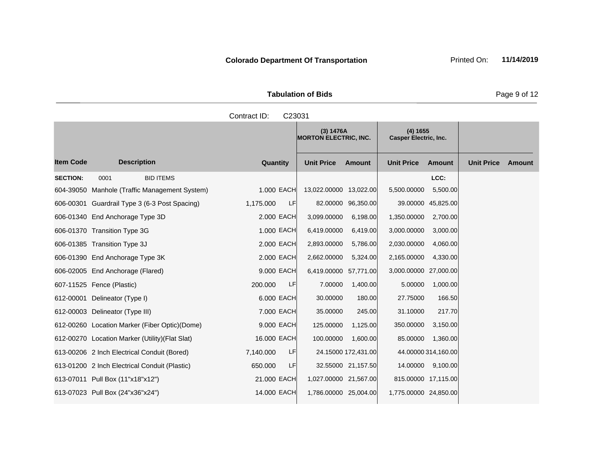| <b>Tabulation of Bids</b> |  |  |  |  |  |  |  |
|---------------------------|--|--|--|--|--|--|--|
| Contract ID: C23031       |  |  |  |  |  |  |  |

|                  |                                                 |             |            | (3) 1476A<br><b>MORTON ELECTRIC, INC.</b> |                     | (4) 1655<br><b>Casper Electric, Inc.</b> |                     |                   |               |
|------------------|-------------------------------------------------|-------------|------------|-------------------------------------------|---------------------|------------------------------------------|---------------------|-------------------|---------------|
| <b>Item Code</b> | <b>Description</b>                              | Quantity    |            | <b>Unit Price</b>                         | <b>Amount</b>       | <b>Unit Price</b>                        | <b>Amount</b>       | <b>Unit Price</b> | <b>Amount</b> |
| <b>SECTION:</b>  | 0001<br><b>BID ITEMS</b>                        |             |            |                                           |                     |                                          | LCC:                |                   |               |
| 604-39050        | Manhole (Traffic Management System)             | 1.000 EACH  |            | 13,022.00000 13,022.00                    |                     | 5,500.00000                              | 5,500.00            |                   |               |
|                  | 606-00301 Guardrail Type 3 (6-3 Post Spacing)   | 1,175.000   | <b>LF</b>  |                                           | 82.00000 96,350.00  | 39.00000                                 | 45,825.00           |                   |               |
|                  | 606-01340 End Anchorage Type 3D                 | 2.000 EACH  |            | 3,099.00000                               | 6,198.00            | 1,350.00000                              | 2,700.00            |                   |               |
|                  | 606-01370 Transition Type 3G                    |             | 1.000 EACH | 6,419.00000                               | 6,419.00            | 3,000.00000                              | 3,000.00            |                   |               |
|                  | 606-01385 Transition Type 3J                    | 2.000 EACH  |            | 2,893.00000                               | 5,786.00            | 2,030.00000                              | 4,060.00            |                   |               |
|                  | 606-01390 End Anchorage Type 3K                 | 2.000 EACH  |            | 2,662.00000                               | 5,324.00            | 2,165.00000                              | 4,330.00            |                   |               |
|                  | 606-02005 End Anchorage (Flared)                | 9.000 EACH  |            | 6,419.00000                               | 57,771.00           | 3,000.00000                              | 27,000.00           |                   |               |
|                  | 607-11525 Fence (Plastic)                       | 200.000     | LF         | 7.00000                                   | 1,400.00            | 5.00000                                  | 1,000.00            |                   |               |
| 612-00001        | Delineator (Type I)                             | 6.000 EACH  |            | 30.00000                                  | 180.00              | 27.75000                                 | 166.50              |                   |               |
|                  | 612-00003 Delineator (Type III)                 | 7.000 EACH  |            | 35.00000                                  | 245.00              | 31.10000                                 | 217.70              |                   |               |
|                  | 612-00260 Location Marker (Fiber Optic) (Dome)  | 9.000 EACH  |            | 125.00000                                 | 1,125.00            | 350.00000                                | 3,150.00            |                   |               |
|                  | 612-00270 Location Marker (Utility) (Flat Slat) | 16.000 EACH |            | 100.00000                                 | 1,600.00            | 85.00000                                 | 1,360.00            |                   |               |
|                  | 613-00206 2 Inch Electrical Conduit (Bored)     | 7,140.000   | <b>LF</b>  |                                           | 24.15000 172,431.00 |                                          | 44.00000 314,160.00 |                   |               |
|                  | 613-01200 2 Inch Electrical Conduit (Plastic)   | 650.000     | LF         |                                           | 32.55000 21,157.50  | 14.00000                                 | 9,100.00            |                   |               |
|                  | 613-07011 Pull Box (11"x18"x12")                | 21.000 EACH |            | 1,027.00000 21,567.00                     |                     |                                          | 815.00000 17,115.00 |                   |               |
|                  | 613-07023 Pull Box (24"x36"x24")                | 14,000 EACH |            | 1,786.00000 25,004.00                     |                     | 1,775.00000 24,850.00                    |                     |                   |               |

**Page 9 of 12**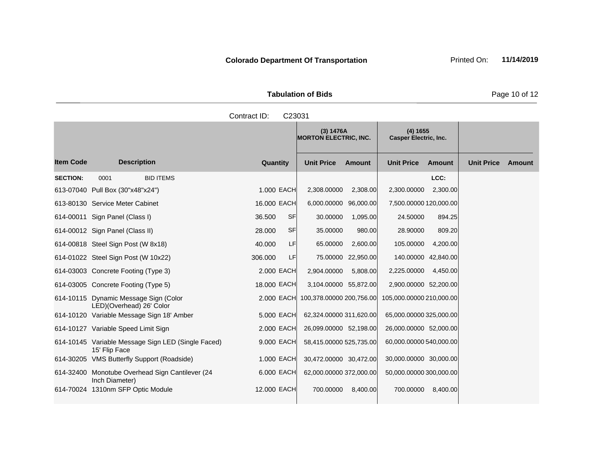**Tabulation of Bids Page 10 of 12** 

|                  |                                                                     | Contract ID: | C23031    |                                           |                    |                                          |               |                   |               |
|------------------|---------------------------------------------------------------------|--------------|-----------|-------------------------------------------|--------------------|------------------------------------------|---------------|-------------------|---------------|
|                  |                                                                     |              |           | (3) 1476A<br><b>MORTON ELECTRIC, INC.</b> |                    | (4) 1655<br><b>Casper Electric, Inc.</b> |               |                   |               |
| <b>Item Code</b> | <b>Description</b>                                                  | Quantity     |           | <b>Unit Price</b>                         | <b>Amount</b>      | <b>Unit Price</b>                        | <b>Amount</b> | <b>Unit Price</b> | <b>Amount</b> |
| <b>SECTION:</b>  | 0001<br><b>BID ITEMS</b>                                            |              |           |                                           |                    |                                          | LCC:          |                   |               |
|                  | 613-07040 Pull Box (30"x48"x24")                                    | 1.000 EACH   |           | 2,308.00000                               | 2,308.00           | 2,300.00000                              | 2,300.00      |                   |               |
|                  | 613-80130 Service Meter Cabinet                                     | 16.000 EACH  |           | 6,000.00000 96,000.00                     |                    | 7,500.00000 120,000.00                   |               |                   |               |
|                  | 614-00011 Sign Panel (Class I)                                      | 36.500       | <b>SF</b> | 30.00000                                  | 1,095.00           | 24.50000                                 | 894.25        |                   |               |
|                  | 614-00012 Sign Panel (Class II)                                     | 28.000       | SF        | 35.00000                                  | 980.00             | 28.90000                                 | 809.20        |                   |               |
|                  | 614-00818 Steel Sign Post (W 8x18)                                  | 40.000       | LF        | 65.00000                                  | 2,600.00           | 105.00000                                | 4,200.00      |                   |               |
|                  | 614-01022 Steel Sign Post (W 10x22)                                 | 306.000      | LF        |                                           | 75.00000 22,950.00 | 140.00000                                | 42,840.00     |                   |               |
|                  | 614-03003 Concrete Footing (Type 3)                                 | 2.000 EACH   |           | 2,904.00000                               | 5,808.00           | 2,225.00000                              | 4,450.00      |                   |               |
|                  | 614-03005 Concrete Footing (Type 5)                                 | 18.000 EACH  |           | 3,104.00000 55,872.00                     |                    | 2,900.00000 52,200.00                    |               |                   |               |
|                  | 614-10115 Dynamic Message Sign (Color<br>LED)(Overhead) 26' Color   | 2,000 EACH   |           | 100,378.00000 200,756.00                  |                    | 105,000.00000 210,000.00                 |               |                   |               |
|                  | 614-10120 Variable Message Sign 18' Amber                           | 5.000 EACH   |           | 62,324.00000 311,620.00                   |                    | 65,000.00000 325,000.00                  |               |                   |               |
|                  | 614-10127 Variable Speed Limit Sign                                 | 2.000 EACH   |           | 26,099.00000 52,198.00                    |                    | 26,000.00000 52,000.00                   |               |                   |               |
|                  | 614-10145 Variable Message Sign LED (Single Faced)<br>15' Flip Face | 9.000 EACH   |           | 58,415.00000 525,735.00                   |                    | 60,000.00000 540,000.00                  |               |                   |               |
|                  | 614-30205 VMS Butterfly Support (Roadside)                          | 1.000 EACH   |           | 30,472.00000 30,472.00                    |                    | 30,000.00000 30,000.00                   |               |                   |               |
|                  | 614-32400 Monotube Overhead Sign Cantilever (24<br>Inch Diameter)   | 6.000 EACH   |           | 62,000.00000 372,000.00                   |                    | 50,000.00000 300,000.00                  |               |                   |               |
|                  | 614-70024 1310nm SFP Optic Module                                   | 12.000 EACH  |           | 700.00000                                 | 8,400.00           | 700.00000                                | 8,400.00      |                   |               |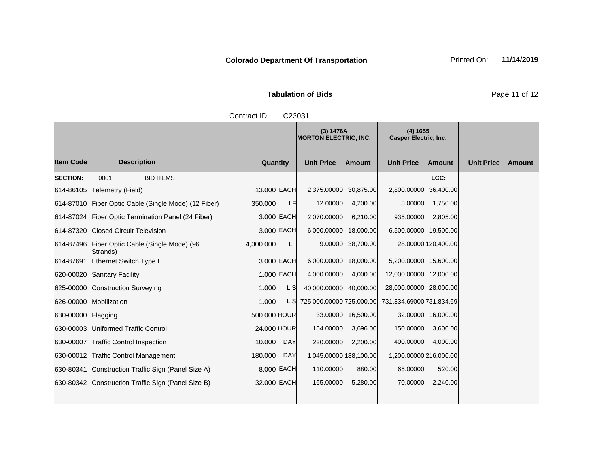**Tabulation of Bids** Page 11 of 12

|                    |                                                           | Contract ID: | C23031     |                                           |                    |                                          |                     |                   |               |
|--------------------|-----------------------------------------------------------|--------------|------------|-------------------------------------------|--------------------|------------------------------------------|---------------------|-------------------|---------------|
|                    |                                                           |              |            | (3) 1476A<br><b>MORTON ELECTRIC, INC.</b> |                    | (4) 1655<br><b>Casper Electric, Inc.</b> |                     |                   |               |
| <b>Item Code</b>   | <b>Description</b>                                        | Quantity     |            | <b>Unit Price</b>                         | <b>Amount</b>      | <b>Unit Price</b>                        | <b>Amount</b>       | <b>Unit Price</b> | <b>Amount</b> |
| <b>SECTION:</b>    | <b>BID ITEMS</b><br>0001                                  |              |            |                                           |                    |                                          | LCC:                |                   |               |
|                    | 614-86105 Telemetry (Field)                               | 13.000 EACH  |            | 2,375.00000 30,875.00                     |                    | 2,800.00000 36,400.00                    |                     |                   |               |
|                    | 614-87010 Fiber Optic Cable (Single Mode) (12 Fiber)      | 350.000      | LF         | 12.00000                                  | 4,200.00           | 5.00000                                  | 1,750.00            |                   |               |
|                    | 614-87024 Fiber Optic Termination Panel (24 Fiber)        | 3.000 EACH   |            | 2,070.00000                               | 6,210.00           | 935.00000                                | 2,805.00            |                   |               |
|                    | 614-87320 Closed Circuit Television                       | 3.000 EACH   |            | 6,000.00000 18,000.00                     |                    | 6,500.00000 19,500.00                    |                     |                   |               |
|                    | 614-87496 Fiber Optic Cable (Single Mode) (96<br>Strands) | 4,300.000    | LF         |                                           | 9.00000 38,700.00  |                                          | 28.00000 120,400.00 |                   |               |
|                    | 614-87691 Ethernet Switch Type I                          | 3,000 EACH   |            | 6,000.00000 18,000.00                     |                    | 5,200.00000 15,600.00                    |                     |                   |               |
|                    | 620-00020 Sanitary Facility                               | 1.000 EACH   |            | 4,000.00000                               | 4,000.00           | 12,000.00000 12,000.00                   |                     |                   |               |
|                    | 625-00000 Construction Surveying                          | 1.000        | L S        | 40,000.00000 40,000.00                    |                    | 28,000.00000 28,000.00                   |                     |                   |               |
|                    | 626-00000 Mobilization                                    | 1.000        | L S        | 725,000.00000 725,000.00                  |                    | 731,834.69000 731,834.69                 |                     |                   |               |
| 630-00000 Flagging |                                                           | 500.000 HOUR |            |                                           | 33.00000 16,500.00 |                                          | 32.00000 16,000.00  |                   |               |
|                    | 630-00003 Uniformed Traffic Control                       | 24.000 HOUR  |            | 154.00000                                 | 3,696.00           | 150.00000                                | 3,600.00            |                   |               |
|                    | 630-00007 Traffic Control Inspection                      | 10.000       | DAY        | 220.00000                                 | 2,200.00           | 400.00000                                | 4,000.00            |                   |               |
|                    | 630-00012 Traffic Control Management                      | 180.000      | <b>DAY</b> | 1,045.00000 188,100.00                    |                    | 1,200.00000 216,000.00                   |                     |                   |               |
|                    | 630-80341 Construction Traffic Sign (Panel Size A)        | 8.000 EACH   |            | 110.00000                                 | 880.00             | 65.00000                                 | 520.00              |                   |               |
|                    | 630-80342 Construction Traffic Sign (Panel Size B)        | 32.000 EACH  |            | 165.00000                                 | 5,280.00           | 70.00000                                 | 2,240.00            |                   |               |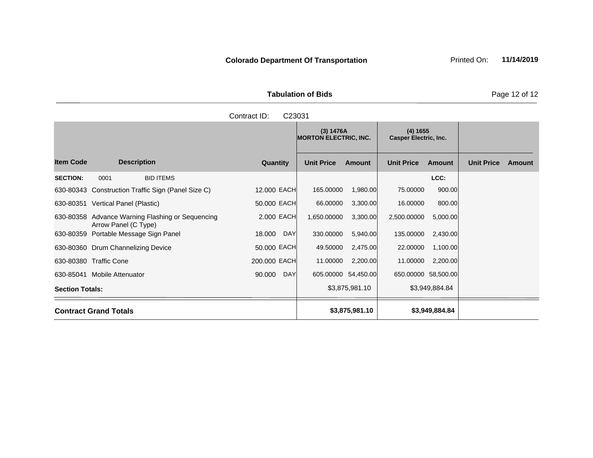Tabulation of Bids **Page 12 of 12** 

|                             |                              |                                                                          |              |            | (3) 1476A<br><b>MORTON ELECTRIC, INC.</b> |                     | $(4)$ 1655<br><b>Casper Electric, Inc.</b> |                     |                   |        |
|-----------------------------|------------------------------|--------------------------------------------------------------------------|--------------|------------|-------------------------------------------|---------------------|--------------------------------------------|---------------------|-------------------|--------|
| <b>Item Code</b>            |                              | <b>Description</b>                                                       | Quantity     |            | <b>Unit Price</b>                         | <b>Amount</b>       | <b>Unit Price</b>                          | <b>Amount</b>       | <b>Unit Price</b> | Amount |
| <b>SECTION:</b>             | 0001                         | <b>BID ITEMS</b>                                                         |              |            |                                           |                     |                                            | LCC:                |                   |        |
|                             |                              | 630-80343 Construction Traffic Sign (Panel Size C)                       | 12.000 EACH  |            | 165.00000                                 | 1,980.00            | 75.00000                                   | 900.00              |                   |        |
|                             |                              | 630-80351 Vertical Panel (Plastic)                                       | 50.000 EACH  |            | 66.00000                                  | 3,300.00            | 16.00000                                   | 800.00              |                   |        |
|                             |                              | 630-80358 Advance Warning Flashing or Sequencing<br>Arrow Panel (C Type) | 2.000 EACH   |            | 1,650.00000                               | 3,300.00            | 2,500.00000                                | 5,000.00            |                   |        |
|                             |                              | 630-80359 Portable Message Sign Panel                                    | 18.000       | DAY        | 330.00000                                 | 5,940.00            | 135.00000                                  | 2,430.00            |                   |        |
|                             |                              | 630-80360 Drum Channelizing Device                                       | 50.000 EACH  |            | 49.50000                                  | 2,475.00            | 22.00000                                   | 1,100.00            |                   |        |
| 630-80380 Traffic Cone      |                              |                                                                          | 200.000 EACH |            | 11.00000                                  | 2,200.00            | 11.00000                                   | 2,200.00            |                   |        |
| 630-85041 Mobile Attenuator |                              |                                                                          | 90.000       | <b>DAY</b> |                                           | 605.00000 54,450.00 |                                            | 650.00000 58,500.00 |                   |        |
| <b>Section Totals:</b>      |                              |                                                                          |              |            |                                           | \$3,875,981.10      |                                            | \$3,949,884.84      |                   |        |
|                             | <b>Contract Grand Totals</b> |                                                                          |              |            |                                           | \$3,875,981.10      |                                            | \$3,949,884.84      |                   |        |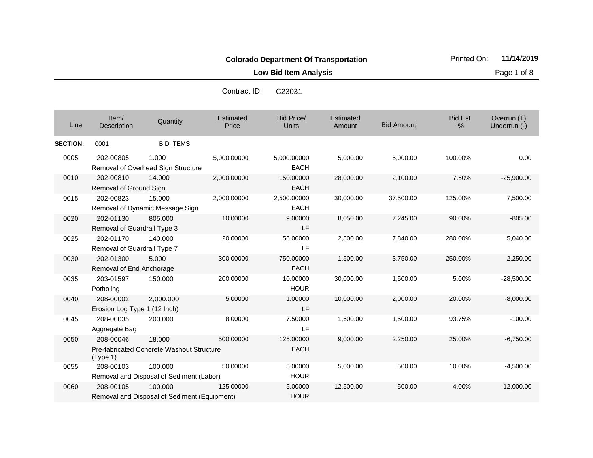**Low Bid Item Analysis Page 1 of 8** 

| Contract ID: | C <sub>23031</sub> |
|--------------|--------------------|
|              |                    |

| Line            | Item/<br>Description                      | Quantity                                                | Estimated<br>Price | <b>Bid Price/</b><br><b>Units</b> | Estimated<br>Amount | <b>Bid Amount</b> | <b>Bid Est</b><br>% | Overrun $(+)$<br>Underrun (-) |
|-----------------|-------------------------------------------|---------------------------------------------------------|--------------------|-----------------------------------|---------------------|-------------------|---------------------|-------------------------------|
| <b>SECTION:</b> | 0001                                      | <b>BID ITEMS</b>                                        |                    |                                   |                     |                   |                     |                               |
| 0005            | 202-00805                                 | 1.000<br>Removal of Overhead Sign Structure             | 5,000.00000        | 5,000.00000<br><b>EACH</b>        | 5,000.00            | 5,000.00          | 100.00%             | 0.00                          |
| 0010            | 202-00810<br>Removal of Ground Sign       | 14.000                                                  | 2,000.00000        | 150.00000<br><b>EACH</b>          | 28,000.00           | 2,100.00          | 7.50%               | $-25,900.00$                  |
| 0015            | 202-00823                                 | 15.000<br>Removal of Dynamic Message Sign               | 2,000.00000        | 2,500.00000<br><b>EACH</b>        | 30,000.00           | 37,500.00         | 125.00%             | 7,500.00                      |
| 0020            | 202-01130<br>Removal of Guardrail Type 3  | 805,000                                                 | 10.00000           | 9.00000<br>LF                     | 8,050.00            | 7,245.00          | 90.00%              | $-805.00$                     |
| 0025            | 202-01170<br>Removal of Guardrail Type 7  | 140.000                                                 | 20.00000           | 56.00000<br>LF                    | 2,800.00            | 7.840.00          | 280.00%             | 5,040.00                      |
| 0030            | 202-01300<br>Removal of End Anchorage     | 5.000                                                   | 300.00000          | 750.00000<br><b>EACH</b>          | 1,500.00            | 3,750.00          | 250.00%             | 2,250.00                      |
| 0035            | 203-01597<br>Potholing                    | 150,000                                                 | 200.00000          | 10.00000<br><b>HOUR</b>           | 30,000.00           | 1.500.00          | 5.00%               | $-28,500.00$                  |
| 0040            | 208-00002<br>Erosion Log Type 1 (12 Inch) | 2,000.000                                               | 5.00000            | 1.00000<br>LF                     | 10,000.00           | 2,000.00          | 20.00%              | $-8,000.00$                   |
| 0045            | 208-00035<br>Aggregate Bag                | 200.000                                                 | 8.00000            | 7.50000<br>LF                     | 1,600.00            | 1,500.00          | 93.75%              | $-100.00$                     |
| 0050            | 208-00046<br>(Type 1)                     | 18.000<br>Pre-fabricated Concrete Washout Structure     | 500.00000          | 125.00000<br><b>EACH</b>          | 9,000.00            | 2,250.00          | 25.00%              | $-6,750.00$                   |
| 0055            | 208-00103                                 | 100.000<br>Removal and Disposal of Sediment (Labor)     | 50.00000           | 5.00000<br><b>HOUR</b>            | 5,000.00            | 500.00            | 10.00%              | $-4,500.00$                   |
| 0060            | 208-00105                                 | 100.000<br>Removal and Disposal of Sediment (Equipment) | 125.00000          | 5.00000<br><b>HOUR</b>            | 12,500.00           | 500.00            | 4.00%               | $-12,000.00$                  |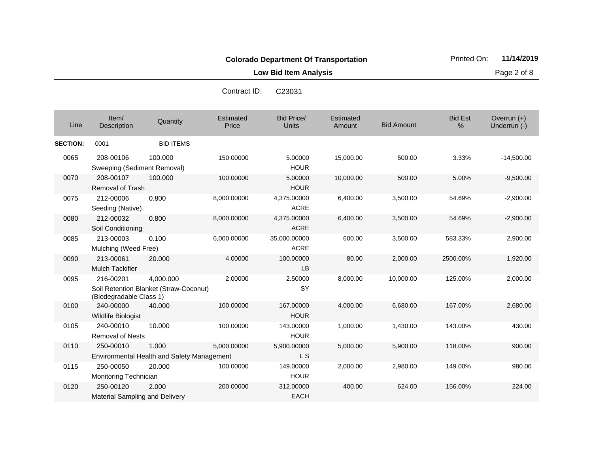Contract ID: C23031

**Low Bid Item Analysis Page 2 of 8** 

| Line            | Item/<br>Description                               | Quantity                                            | Estimated<br>Price | Bid Price/<br><b>Units</b>  | Estimated<br>Amount | <b>Bid Amount</b> | <b>Bid Est</b><br>% | Overrun $(+)$<br>Underrun (-) |
|-----------------|----------------------------------------------------|-----------------------------------------------------|--------------------|-----------------------------|---------------------|-------------------|---------------------|-------------------------------|
| <b>SECTION:</b> | 0001                                               | <b>BID ITEMS</b>                                    |                    |                             |                     |                   |                     |                               |
| 0065            | 208-00106<br>Sweeping (Sediment Removal)           | 100.000                                             | 150.00000          | 5.00000<br><b>HOUR</b>      | 15,000.00           | 500.00            | 3.33%               | $-14,500.00$                  |
| 0070            | 208-00107<br><b>Removal of Trash</b>               | 100.000                                             | 100.00000          | 5.00000<br><b>HOUR</b>      | 10,000.00           | 500.00            | 5.00%               | $-9,500.00$                   |
| 0075            | 212-00006<br>Seeding (Native)                      | 0.800                                               | 8,000.00000        | 4,375.00000<br><b>ACRE</b>  | 6,400.00            | 3,500.00          | 54.69%              | $-2,900.00$                   |
| 0080            | 212-00032<br>Soil Conditioning                     | 0.800                                               | 8,000.00000        | 4,375.00000<br><b>ACRE</b>  | 6,400.00            | 3,500.00          | 54.69%              | $-2,900.00$                   |
| 0085            | 213-00003<br>Mulching (Weed Free)                  | 0.100                                               | 6,000.00000        | 35,000.00000<br><b>ACRE</b> | 600.00              | 3,500.00          | 583.33%             | 2,900.00                      |
| 0090            | 213-00061<br><b>Mulch Tackifier</b>                | 20,000                                              | 4.00000            | 100.00000<br><b>LB</b>      | 80.00               | 2,000.00          | 2500.00%            | 1,920.00                      |
| 0095            | 216-00201<br>(Biodegradable Class 1)               | 4,000.000<br>Soil Retention Blanket (Straw-Coconut) | 2.00000            | 2.50000<br>SY               | 8,000.00            | 10,000.00         | 125.00%             | 2,000.00                      |
| 0100            | 240-00000<br><b>Wildlife Biologist</b>             | 40.000                                              | 100.00000          | 167.00000<br><b>HOUR</b>    | 4,000.00            | 6,680.00          | 167.00%             | 2,680.00                      |
| 0105            | 240-00010<br><b>Removal of Nests</b>               | 10.000                                              | 100.00000          | 143.00000<br><b>HOUR</b>    | 1,000.00            | 1,430.00          | 143.00%             | 430.00                        |
| 0110            | 250-00010                                          | 1.000<br>Environmental Health and Safety Management | 5,000.00000        | 5,900.00000<br>L S          | 5,000.00            | 5,900.00          | 118.00%             | 900.00                        |
| 0115            | 250-00050<br>Monitoring Technician                 | 20.000                                              | 100.00000          | 149.00000<br><b>HOUR</b>    | 2,000.00            | 2,980.00          | 149.00%             | 980.00                        |
| 0120            | 250-00120<br><b>Material Sampling and Delivery</b> | 2.000                                               | 200.00000          | 312.00000<br><b>EACH</b>    | 400.00              | 624.00            | 156.00%             | 224.00                        |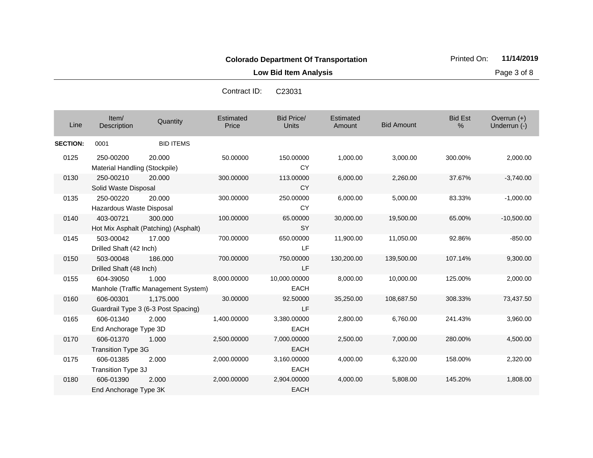**Low Bid Item Analysis Page 3 of 8** 

|                 |                               |                                      | OUIIII au ID.      | ∪∠ง∪ง เ             |                     |                   |                     |                               |
|-----------------|-------------------------------|--------------------------------------|--------------------|---------------------|---------------------|-------------------|---------------------|-------------------------------|
| Line            | Item/<br>Description          | Quantity                             | Estimated<br>Price | Bid Price/<br>Units | Estimated<br>Amount | <b>Bid Amount</b> | <b>Bid Est</b><br>% | Overrun $(+)$<br>Underrun (-) |
| <b>SECTION:</b> | 0001                          | <b>BID ITEMS</b>                     |                    |                     |                     |                   |                     |                               |
| 0125            | 250-00200                     | 20.000                               | 50.00000           | 150.00000           | 1,000.00            | 3,000.00          | 300.00%             | 2,000.00                      |
|                 | Material Handling (Stockpile) |                                      |                    | <b>CY</b>           |                     |                   |                     |                               |
| 0130            | 250-00210                     | 20.000                               | 300.00000          | 113.00000           | 6,000.00            | 2,260.00          | 37.67%              | $-3,740.00$                   |
|                 | Solid Waste Disposal          |                                      |                    | <b>CY</b>           |                     |                   |                     |                               |
| 0135            | 250-00220                     | 20.000                               | 300.00000          | 250.00000           | 6,000.00            | 5,000.00          | 83.33%              | $-1,000.00$                   |
|                 | Hazardous Waste Disposal      |                                      |                    | <b>CY</b>           |                     |                   |                     |                               |
| 0140            | 403-00721                     | 300.000                              | 100.00000          | 65.00000            | 30,000.00           | 19,500.00         | 65.00%              | $-10,500.00$                  |
|                 |                               | Hot Mix Asphalt (Patching) (Asphalt) |                    | <b>SY</b>           |                     |                   |                     |                               |
| 0145            | 503-00042                     | 17.000                               | 700.00000          | 650.00000           | 11,900.00           | 11,050.00         | 92.86%              | $-850.00$                     |
|                 | Drilled Shaft (42 Inch)       |                                      |                    | LF                  |                     |                   |                     |                               |
| 0150            | 503-00048                     | 186.000                              | 700.00000          | 750.00000           | 130,200.00          | 139,500.00        | 107.14%             | 9,300.00                      |
|                 | Drilled Shaft (48 Inch)       |                                      |                    | LF                  |                     |                   |                     |                               |
| 0155            | 604-39050                     | 1.000                                | 8,000.00000        | 10,000.00000        | 8,000.00            | 10,000.00         | 125.00%             | 2,000.00                      |
|                 |                               | Manhole (Traffic Management System)  |                    | <b>EACH</b>         |                     |                   |                     |                               |
| 0160            | 606-00301                     | 1,175.000                            | 30.00000           | 92.50000            | 35,250.00           | 108,687.50        | 308.33%             | 73,437.50                     |
|                 |                               | Guardrail Type 3 (6-3 Post Spacing)  |                    | LF.                 |                     |                   |                     |                               |
| 0165            | 606-01340                     | 2.000                                | 1,400.00000        | 3,380.00000         | 2,800.00            | 6,760.00          | 241.43%             | 3,960.00                      |
|                 | End Anchorage Type 3D         |                                      |                    | <b>EACH</b>         |                     |                   |                     |                               |
| 0170            | 606-01370                     | 1.000                                | 2,500.00000        | 7,000.00000         | 2,500.00            | 7,000.00          | 280.00%             | 4,500.00                      |
|                 | <b>Transition Type 3G</b>     |                                      |                    | <b>EACH</b>         |                     |                   |                     |                               |
| 0175            | 606-01385                     | 2.000                                | 2,000.00000        | 3,160.00000         | 4,000.00            | 6,320.00          | 158.00%             | 2,320.00                      |
|                 | Transition Type 3J            |                                      |                    | <b>EACH</b>         |                     |                   |                     |                               |
| 0180            | 606-01390                     | 2.000                                | 2,000.00000        | 2,904.00000         | 4,000.00            | 5,808.00          | 145.20%             | 1,808.00                      |
|                 | End Anchorage Type 3K         |                                      |                    | <b>EACH</b>         |                     |                   |                     |                               |

Contract ID: C23031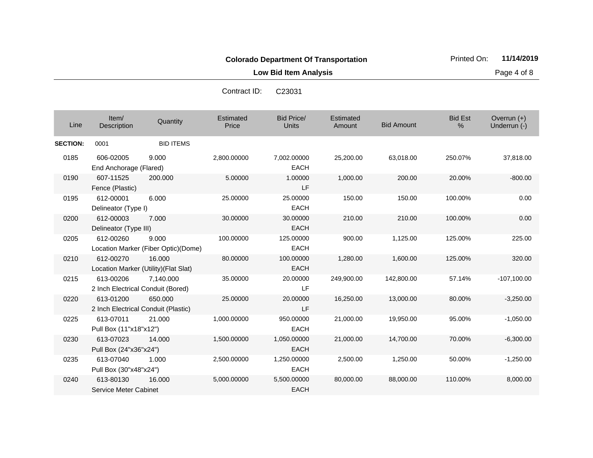**Low Bid Item Analysis Page 4 of 8** 

Contract ID: C23031

| Line            | Item/<br>Description                             | Quantity                                        | Estimated<br>Price | <b>Bid Price/</b><br>Units | Estimated<br>Amount | <b>Bid Amount</b> | <b>Bid Est</b><br>% | Overrun $(+)$<br>Underrun (-) |
|-----------------|--------------------------------------------------|-------------------------------------------------|--------------------|----------------------------|---------------------|-------------------|---------------------|-------------------------------|
| <b>SECTION:</b> | 0001                                             | <b>BID ITEMS</b>                                |                    |                            |                     |                   |                     |                               |
| 0185            | 606-02005<br>End Anchorage (Flared)              | 9.000                                           | 2,800.00000        | 7,002.00000<br><b>EACH</b> | 25,200.00           | 63,018.00         | 250.07%             | 37,818.00                     |
| 0190            | 607-11525<br>Fence (Plastic)                     | 200.000                                         | 5.00000            | 1.00000<br>LF              | 1,000.00            | 200.00            | 20.00%              | $-800.00$                     |
| 0195            | 612-00001<br>Delineator (Type I)                 | 6.000                                           | 25.00000           | 25.00000<br><b>EACH</b>    | 150.00              | 150.00            | 100.00%             | 0.00                          |
| 0200            | 612-00003<br>Delineator (Type III)               | 7.000                                           | 30.00000           | 30.00000<br><b>EACH</b>    | 210.00              | 210.00            | 100.00%             | 0.00                          |
| 0205            | 612-00260                                        | 9.000<br>Location Marker (Fiber Optic)(Dome)    | 100.00000          | 125.00000<br><b>EACH</b>   | 900.00              | 1,125.00          | 125.00%             | 225.00                        |
| 0210            | 612-00270                                        | 16.000<br>Location Marker (Utility) (Flat Slat) | 80.00000           | 100.00000<br><b>EACH</b>   | 1,280.00            | 1,600.00          | 125.00%             | 320.00                        |
| 0215            | 613-00206<br>2 Inch Electrical Conduit (Bored)   | 7.140.000                                       | 35.00000           | 20.00000<br>LF             | 249,900.00          | 142,800.00        | 57.14%              | $-107,100.00$                 |
| 0220            | 613-01200<br>2 Inch Electrical Conduit (Plastic) | 650.000                                         | 25.00000           | 20.00000<br>LF             | 16,250.00           | 13,000.00         | 80.00%              | $-3,250.00$                   |
| 0225            | 613-07011<br>Pull Box (11"x18"x12")              | 21.000                                          | 1,000.00000        | 950.00000<br><b>EACH</b>   | 21,000.00           | 19,950.00         | 95.00%              | $-1,050.00$                   |
| 0230            | 613-07023<br>Pull Box (24"x36"x24")              | 14.000                                          | 1,500.00000        | 1,050.00000<br><b>EACH</b> | 21,000.00           | 14,700.00         | 70.00%              | $-6,300.00$                   |
| 0235            | 613-07040<br>Pull Box (30"x48"x24")              | 1.000                                           | 2,500.00000        | 1,250.00000<br><b>EACH</b> | 2,500.00            | 1,250.00          | 50.00%              | $-1,250.00$                   |
| 0240            | 613-80130<br>Service Meter Cabinet               | 16.000                                          | 5,000.00000        | 5,500.00000<br><b>EACH</b> | 80,000.00           | 88,000.00         | 110.00%             | 8,000.00                      |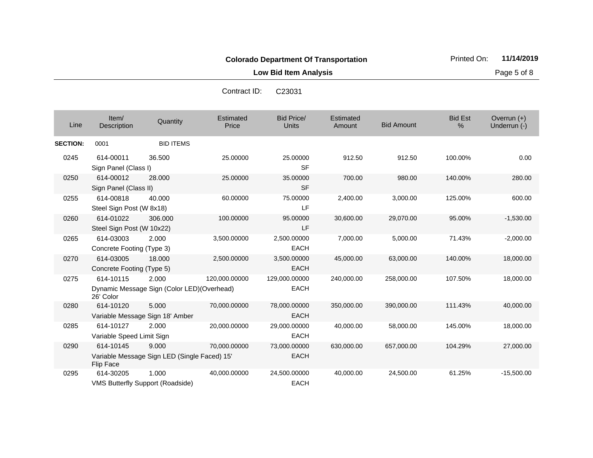**Low Bid Item Analysis Page 5 of 8** 

| Line            | Item/<br>Description                   | Quantity                                              | Estimated<br>Price | <b>Bid Price/</b><br><b>Units</b> | Estimated<br>Amount | <b>Bid Amount</b> | <b>Bid Est</b><br>% | Overrun $(+)$<br>Underrun (-) |
|-----------------|----------------------------------------|-------------------------------------------------------|--------------------|-----------------------------------|---------------------|-------------------|---------------------|-------------------------------|
| <b>SECTION:</b> | 0001                                   | <b>BID ITEMS</b>                                      |                    |                                   |                     |                   |                     |                               |
| 0245            | 614-00011<br>Sign Panel (Class I)      | 36.500                                                | 25.00000           | 25.00000<br><b>SF</b>             | 912.50              | 912.50            | 100.00%             | 0.00                          |
| 0250            | 614-00012<br>Sign Panel (Class II)     | 28.000                                                | 25.00000           | 35.00000<br><b>SF</b>             | 700.00              | 980.00            | 140.00%             | 280.00                        |
| 0255            | 614-00818<br>Steel Sign Post (W 8x18)  | 40.000                                                | 60.00000           | 75.00000<br>LF                    | 2,400.00            | 3,000.00          | 125.00%             | 600.00                        |
| 0260            | 614-01022<br>Steel Sign Post (W 10x22) | 306.000                                               | 100.00000          | 95.00000<br>LF.                   | 30,600.00           | 29,070.00         | 95.00%              | $-1,530.00$                   |
| 0265            | 614-03003<br>Concrete Footing (Type 3) | 2.000                                                 | 3,500.00000        | 2,500.00000<br><b>EACH</b>        | 7,000.00            | 5,000.00          | 71.43%              | $-2,000.00$                   |
| 0270            | 614-03005<br>Concrete Footing (Type 5) | 18.000                                                | 2,500.00000        | 3,500.00000<br><b>EACH</b>        | 45,000.00           | 63,000.00         | 140.00%             | 18,000.00                     |
| 0275            | 614-10115<br>26' Color                 | 2.000<br>Dynamic Message Sign (Color LED)(Overhead)   | 120,000.00000      | 129,000.00000<br><b>EACH</b>      | 240,000.00          | 258,000.00        | 107.50%             | 18,000.00                     |
| 0280            | 614-10120                              | 5.000<br>Variable Message Sign 18' Amber              | 70,000.00000       | 78,000.00000<br><b>EACH</b>       | 350,000.00          | 390,000.00        | 111.43%             | 40,000.00                     |
| 0285            | 614-10127<br>Variable Speed Limit Sign | 2.000                                                 | 20,000.00000       | 29,000.00000<br><b>EACH</b>       | 40,000.00           | 58,000.00         | 145.00%             | 18,000.00                     |
| 0290            | 614-10145<br>Flip Face                 | 9.000<br>Variable Message Sign LED (Single Faced) 15' | 70,000.00000       | 73,000.00000<br><b>EACH</b>       | 630,000.00          | 657,000.00        | 104.29%             | 27,000.00                     |
| 0295            | 614-30205                              | 1.000<br>VMS Butterfly Support (Roadside)             | 40.000.00000       | 24,500.00000<br><b>EACH</b>       | 40.000.00           | 24.500.00         | 61.25%              | $-15,500.00$                  |

Contract ID: C23031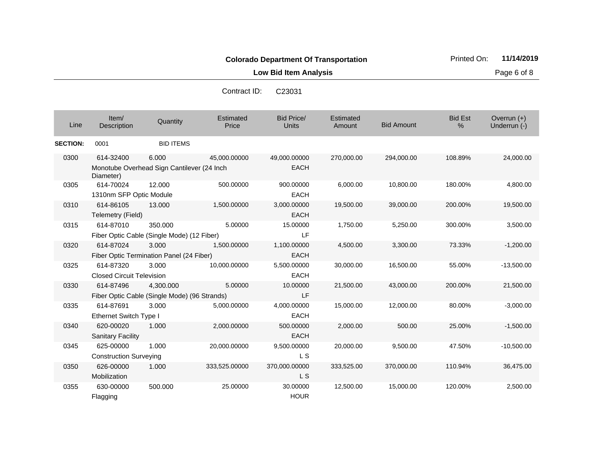**Low Bid Item Analysis Page 6 of 8** 

| Contract ID: | C <sub>23031</sub> |
|--------------|--------------------|
|              |                    |

| Line            | Item/<br>Description                                                 | Quantity         | Estimated<br>Price | <b>Bid Price/</b><br><b>Units</b> | Estimated<br>Amount | <b>Bid Amount</b> | <b>Bid Est</b><br>% | Overrun $(+)$<br>Underrun (-) |
|-----------------|----------------------------------------------------------------------|------------------|--------------------|-----------------------------------|---------------------|-------------------|---------------------|-------------------------------|
| <b>SECTION:</b> | 0001                                                                 | <b>BID ITEMS</b> |                    |                                   |                     |                   |                     |                               |
| 0300            | 614-32400<br>Monotube Overhead Sign Cantilever (24 Inch<br>Diameter) | 6.000            | 45,000.00000       | 49,000.00000<br><b>EACH</b>       | 270,000.00          | 294,000.00        | 108.89%             | 24,000.00                     |
| 0305            | 614-70024<br>1310nm SFP Optic Module                                 | 12.000           | 500.00000          | 900.00000<br><b>EACH</b>          | 6,000.00            | 10,800.00         | 180.00%             | 4,800.00                      |
| 0310            | 614-86105<br>Telemetry (Field)                                       | 13.000           | 1,500.00000        | 3,000.00000<br><b>EACH</b>        | 19,500.00           | 39,000.00         | 200.00%             | 19,500.00                     |
| 0315            | 614-87010<br>Fiber Optic Cable (Single Mode) (12 Fiber)              | 350.000          | 5.00000            | 15.00000<br><b>LF</b>             | 1,750.00            | 5,250.00          | 300.00%             | 3,500.00                      |
| 0320            | 614-87024<br>Fiber Optic Termination Panel (24 Fiber)                | 3.000            | 1,500.00000        | 1,100.00000<br><b>EACH</b>        | 4,500.00            | 3,300.00          | 73.33%              | $-1,200.00$                   |
| 0325            | 614-87320<br><b>Closed Circuit Television</b>                        | 3.000            | 10,000.00000       | 5,500.00000<br><b>EACH</b>        | 30,000.00           | 16,500.00         | 55.00%              | $-13,500.00$                  |
| 0330            | 614-87496<br>Fiber Optic Cable (Single Mode) (96 Strands)            | 4,300.000        | 5.00000            | 10.00000<br>LF                    | 21,500.00           | 43,000.00         | 200.00%             | 21,500.00                     |
| 0335            | 614-87691<br>Ethernet Switch Type I                                  | 3.000            | 5,000.00000        | 4,000.00000<br><b>EACH</b>        | 15,000.00           | 12,000.00         | 80.00%              | $-3,000.00$                   |
| 0340            | 620-00020<br><b>Sanitary Facility</b>                                | 1.000            | 2,000.00000        | 500.00000<br><b>EACH</b>          | 2,000.00            | 500.00            | 25.00%              | $-1,500.00$                   |
| 0345            | 625-00000<br><b>Construction Surveying</b>                           | 1.000            | 20,000.00000       | 9,500.00000<br>L S                | 20,000.00           | 9,500.00          | 47.50%              | $-10,500.00$                  |
| 0350            | 626-00000<br>Mobilization                                            | 1.000            | 333,525.00000      | 370,000.00000<br>L S              | 333,525.00          | 370,000.00        | 110.94%             | 36,475.00                     |
| 0355            | 630-00000<br>Flagging                                                | 500.000          | 25.00000           | 30.00000<br><b>HOUR</b>           | 12,500.00           | 15,000.00         | 120.00%             | 2,500.00                      |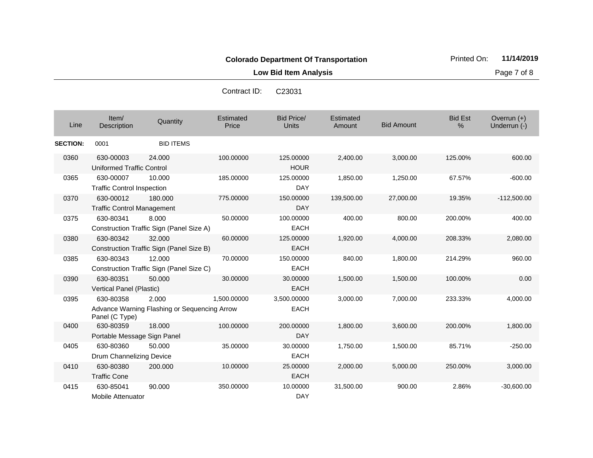**Low Bid Item Analysis Page 7 of 8** 

| Contract ID: | C <sub>23031</sub> |
|--------------|--------------------|
|              |                    |

| Line            | Item/<br>Description                           | Quantity                                              | Estimated<br>Price | <b>Bid Price/</b><br><b>Units</b> | Estimated<br>Amount | <b>Bid Amount</b> | <b>Bid Est</b><br>% | Overrun $(+)$<br>Underrun (-) |
|-----------------|------------------------------------------------|-------------------------------------------------------|--------------------|-----------------------------------|---------------------|-------------------|---------------------|-------------------------------|
| <b>SECTION:</b> | 0001                                           | <b>BID ITEMS</b>                                      |                    |                                   |                     |                   |                     |                               |
| 0360            | 630-00003<br><b>Uniformed Traffic Control</b>  | 24,000                                                | 100.00000          | 125.00000<br><b>HOUR</b>          | 2,400.00            | 3,000.00          | 125.00%             | 600.00                        |
| 0365            | 630-00007<br><b>Traffic Control Inspection</b> | 10.000                                                | 185.00000          | 125.00000<br>DAY                  | 1,850.00            | 1,250.00          | 67.57%              | $-600.00$                     |
| 0370            | 630-00012<br><b>Traffic Control Management</b> | 180.000                                               | 775.00000          | 150.00000<br><b>DAY</b>           | 139,500.00          | 27,000.00         | 19.35%              | $-112,500.00$                 |
| 0375            | 630-80341                                      | 8.000<br>Construction Traffic Sign (Panel Size A)     | 50.00000           | 100.00000<br><b>EACH</b>          | 400.00              | 800.00            | 200.00%             | 400.00                        |
| 0380            | 630-80342                                      | 32.000<br>Construction Traffic Sign (Panel Size B)    | 60.00000           | 125.00000<br><b>EACH</b>          | 1,920.00            | 4,000.00          | 208.33%             | 2,080.00                      |
| 0385            | 630-80343                                      | 12.000<br>Construction Traffic Sign (Panel Size C)    | 70.00000           | 150.00000<br><b>EACH</b>          | 840.00              | 1,800.00          | 214.29%             | 960.00                        |
| 0390            | 630-80351<br>Vertical Panel (Plastic)          | 50.000                                                | 30.00000           | 30.00000<br><b>EACH</b>           | 1,500.00            | 1,500.00          | 100.00%             | 0.00                          |
| 0395            | 630-80358<br>Panel (C Type)                    | 2.000<br>Advance Warning Flashing or Sequencing Arrow | 1,500.00000        | 3,500.00000<br><b>EACH</b>        | 3,000.00            | 7,000.00          | 233.33%             | 4,000.00                      |
| 0400            | 630-80359<br>Portable Message Sign Panel       | 18.000                                                | 100.00000          | 200.00000<br><b>DAY</b>           | 1,800.00            | 3,600.00          | 200.00%             | 1,800.00                      |
| 0405            | 630-80360<br>Drum Channelizing Device          | 50,000                                                | 35.00000           | 30.00000<br><b>EACH</b>           | 1,750.00            | 1,500.00          | 85.71%              | $-250.00$                     |
| 0410            | 630-80380<br><b>Traffic Cone</b>               | 200.000                                               | 10.00000           | 25.00000<br><b>EACH</b>           | 2,000.00            | 5,000.00          | 250.00%             | 3,000.00                      |
| 0415            | 630-85041<br><b>Mobile Attenuator</b>          | 90.000                                                | 350.00000          | 10.00000<br><b>DAY</b>            | 31,500.00           | 900.00            | 2.86%               | $-30,600.00$                  |